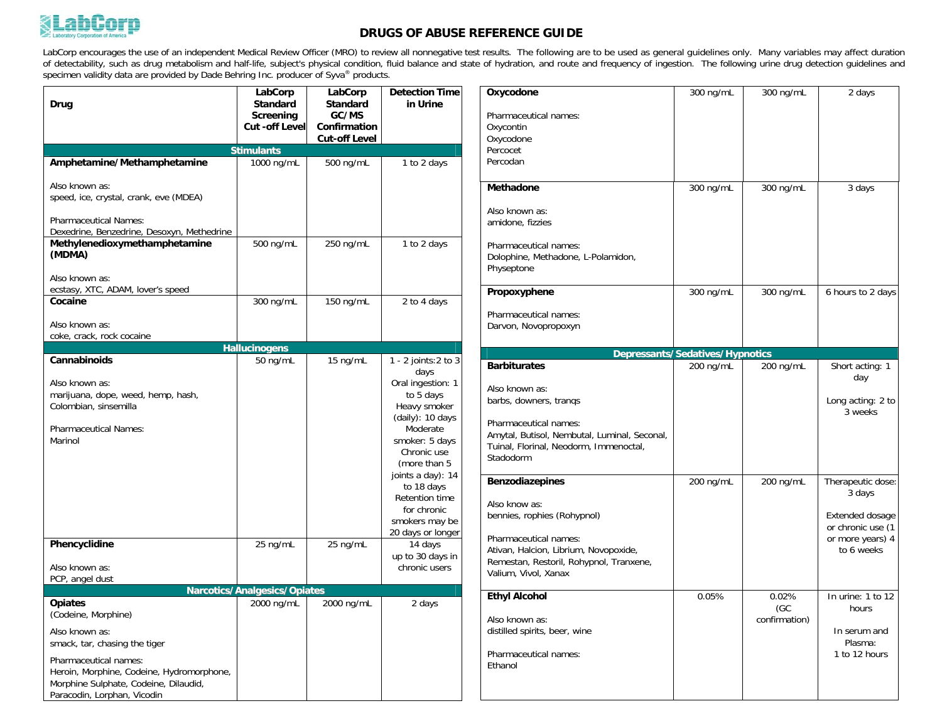

## **DRUGS OF ABUSE REFERENCE GUIDE**

LabCorp encourages the use of an independent Medical Review Officer (MRO) to review all nonnegative test results. The following are to be used as general guidelines only. Many variables may affect duration<br>of detectability specimen validity data are provided by Dade Behring Inc. producer of Syva® products.

| Drug                                                                                                                                                                        | LabCorp<br><b>Standard</b><br>Screening<br><b>Cut -off Level</b> | LabCorp<br>Standard<br>GC/MS<br>Confirmation<br><b>Cut-off Level</b> | <b>Detection Time</b><br>in Urine                                                                                                                                                                                                                     |
|-----------------------------------------------------------------------------------------------------------------------------------------------------------------------------|------------------------------------------------------------------|----------------------------------------------------------------------|-------------------------------------------------------------------------------------------------------------------------------------------------------------------------------------------------------------------------------------------------------|
|                                                                                                                                                                             | <b>Stimulants</b>                                                |                                                                      |                                                                                                                                                                                                                                                       |
| Amphetamine/Methamphetamine                                                                                                                                                 | 1000 ng/mL                                                       | 500 ng/mL                                                            | 1 to 2 days                                                                                                                                                                                                                                           |
| Also known as:<br>speed, ice, crystal, crank, eve (MDEA)<br><b>Pharmaceutical Names:</b>                                                                                    |                                                                  |                                                                      |                                                                                                                                                                                                                                                       |
| Dexedrine, Benzedrine, Desoxyn, Methedrine                                                                                                                                  |                                                                  |                                                                      |                                                                                                                                                                                                                                                       |
| Methylenedioxymethamphetamine<br>(MDMA)                                                                                                                                     | 500 ng/mL                                                        | 250 ng/mL                                                            | 1 to 2 days                                                                                                                                                                                                                                           |
| Also known as:<br>ecstasy, XTC, ADAM, lover's speed                                                                                                                         |                                                                  |                                                                      |                                                                                                                                                                                                                                                       |
| Cocaine                                                                                                                                                                     | 300 ng/mL                                                        | 150 ng/mL                                                            | 2 to 4 days                                                                                                                                                                                                                                           |
| Also known as:<br>coke, crack, rock cocaine                                                                                                                                 |                                                                  |                                                                      |                                                                                                                                                                                                                                                       |
|                                                                                                                                                                             | <b>Hallucinogens</b>                                             |                                                                      |                                                                                                                                                                                                                                                       |
| Cannabinoids                                                                                                                                                                | 50 ng/mL                                                         | 15 ng/mL                                                             | 1 - 2 joints: 2 to 3<br>days                                                                                                                                                                                                                          |
| Also known as:<br>marijuana, dope, weed, hemp, hash,<br>Colombian, sinsemilla<br><b>Pharmaceutical Names:</b><br>Marinol<br>Phencyclidine                                   | 25 ng/mL                                                         | 25 ng/mL                                                             | Oral ingestion: 1<br>to 5 days<br>Heavy smoker<br>(daily): 10 days<br>Moderate<br>smoker: 5 days<br>Chronic use<br>(more than 5<br>joints a day): 14<br>to 18 days<br>Retention time<br>for chronic<br>smokers may be<br>20 days or longer<br>14 days |
| Also known as:                                                                                                                                                              |                                                                  |                                                                      | up to 30 days in<br>chronic users                                                                                                                                                                                                                     |
| PCP, angel dust                                                                                                                                                             | <b>Narcotics/Analgesics/Opiates</b>                              |                                                                      |                                                                                                                                                                                                                                                       |
| <b>Opiates</b><br>(Codeine, Morphine)<br>Also known as:                                                                                                                     | 2000 ng/mL                                                       | 2000 ng/mL                                                           | 2 days                                                                                                                                                                                                                                                |
| smack, tar, chasing the tiger<br>Pharmaceutical names:<br>Heroin, Morphine, Codeine, Hydromorphone,<br>Morphine Sulphate, Codeine, Dilaudid,<br>Paracodin, Lorphan, Vicodin |                                                                  |                                                                      |                                                                                                                                                                                                                                                       |

| Oxycodone                                    | 300 ng/mL                              | 300 ng/mL     | 2 days            |
|----------------------------------------------|----------------------------------------|---------------|-------------------|
|                                              |                                        |               |                   |
| Pharmaceutical names:                        |                                        |               |                   |
| Oxycontin                                    |                                        |               |                   |
| Oxycodone                                    |                                        |               |                   |
| Percocet                                     |                                        |               |                   |
| Percodan                                     |                                        |               |                   |
|                                              |                                        |               |                   |
| Methadone                                    | 300 ng/mL                              | 300 ng/mL     | 3 days            |
| Also known as:                               |                                        |               |                   |
| amidone, fizzies                             |                                        |               |                   |
|                                              |                                        |               |                   |
| Pharmaceutical names:                        |                                        |               |                   |
| Dolophine, Methadone, L-Polamidon,           |                                        |               |                   |
| Physeptone                                   |                                        |               |                   |
|                                              |                                        |               |                   |
| Propoxyphene                                 | 300 ng/mL                              | 300 ng/mL     | 6 hours to 2 days |
| Pharmaceutical names:                        |                                        |               |                   |
| Darvon, Novopropoxyn                         |                                        |               |                   |
|                                              |                                        |               |                   |
|                                              | <b>Depressants/Sedatives/Hypnotics</b> |               |                   |
| <b>Barbiturates</b>                          | 200 ng/mL                              | 200 ng/mL     | Short acting: 1   |
| Also known as:                               |                                        |               | day               |
| barbs, downers, trangs                       |                                        |               | Long acting: 2 to |
|                                              |                                        |               | 3 weeks           |
| Pharmaceutical names:                        |                                        |               |                   |
| Amytal, Butisol, Nembutal, Luminal, Seconal, |                                        |               |                   |
| Tuinal, Florinal, Neodorm, Immenoctal,       |                                        |               |                   |
| Stadodorm                                    |                                        |               |                   |
| <b>Benzodiazepines</b>                       | 200 ng/mL                              | 200 ng/mL     | Therapeutic dose: |
|                                              |                                        |               | 3 days            |
| Also know as:                                |                                        |               |                   |
| bennies, rophies (Rohypnol)                  |                                        |               | Extended dosage   |
|                                              |                                        |               | or chronic use (1 |
| Pharmaceutical names:                        |                                        |               | or more years) 4  |
| Ativan, Halcion, Librium, Novopoxide,        |                                        |               | to 6 weeks        |
| Remestan, Restoril, Rohypnol, Tranxene,      |                                        |               |                   |
| Valium, Vivol, Xanax                         |                                        |               |                   |
| <b>Ethyl Alcohol</b>                         | 0.05%                                  | 0.02%         | In urine: 1 to 12 |
|                                              |                                        | (GC           | hours             |
| Also known as:                               |                                        | confirmation) |                   |
| distilled spirits, beer, wine                |                                        |               | In serum and      |
|                                              |                                        |               | Plasma:           |
| Pharmaceutical names:                        |                                        |               | 1 to 12 hours     |
| Ethanol                                      |                                        |               |                   |
|                                              |                                        |               |                   |
|                                              |                                        |               |                   |